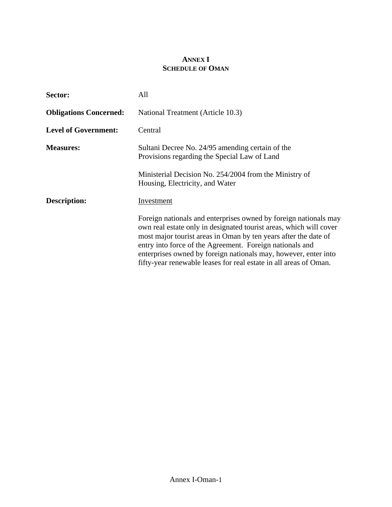## **ANNEX I SCHEDULE OF OMAN**

| Sector:                       | All                                                                                                                                                                                                                                                                                                                                                                                                           |
|-------------------------------|---------------------------------------------------------------------------------------------------------------------------------------------------------------------------------------------------------------------------------------------------------------------------------------------------------------------------------------------------------------------------------------------------------------|
| <b>Obligations Concerned:</b> | National Treatment (Article 10.3)                                                                                                                                                                                                                                                                                                                                                                             |
| <b>Level of Government:</b>   | Central                                                                                                                                                                                                                                                                                                                                                                                                       |
| <b>Measures:</b>              | Sultani Decree No. 24/95 amending certain of the<br>Provisions regarding the Special Law of Land                                                                                                                                                                                                                                                                                                              |
|                               | Ministerial Decision No. 254/2004 from the Ministry of<br>Housing, Electricity, and Water                                                                                                                                                                                                                                                                                                                     |
| Description:                  | Investment                                                                                                                                                                                                                                                                                                                                                                                                    |
|                               | Foreign nationals and enterprises owned by foreign nationals may<br>own real estate only in designated tourist areas, which will cover<br>most major tourist areas in Oman by ten years after the date of<br>entry into force of the Agreement. Foreign nationals and<br>enterprises owned by foreign nationals may, however, enter into<br>fifty-year renewable leases for real estate in all areas of Oman. |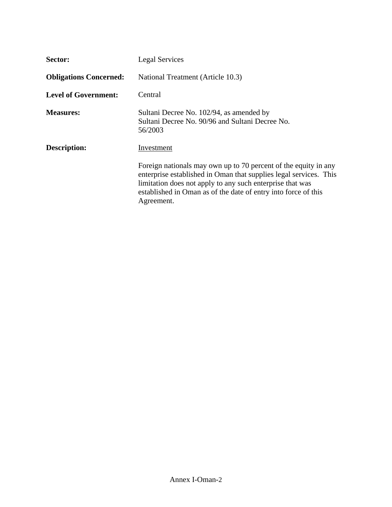| Sector:                       | <b>Legal Services</b>                                                                                                                                                                                                                                                             |
|-------------------------------|-----------------------------------------------------------------------------------------------------------------------------------------------------------------------------------------------------------------------------------------------------------------------------------|
| <b>Obligations Concerned:</b> | National Treatment (Article 10.3)                                                                                                                                                                                                                                                 |
| <b>Level of Government:</b>   | Central                                                                                                                                                                                                                                                                           |
| <b>Measures:</b>              | Sultani Decree No. 102/94, as amended by<br>Sultani Decree No. 90/96 and Sultani Decree No.<br>56/2003                                                                                                                                                                            |
| <b>Description:</b>           | Investment                                                                                                                                                                                                                                                                        |
|                               | Foreign nationals may own up to 70 percent of the equity in any<br>enterprise established in Oman that supplies legal services. This<br>limitation does not apply to any such enterprise that was<br>established in Oman as of the date of entry into force of this<br>Agreement. |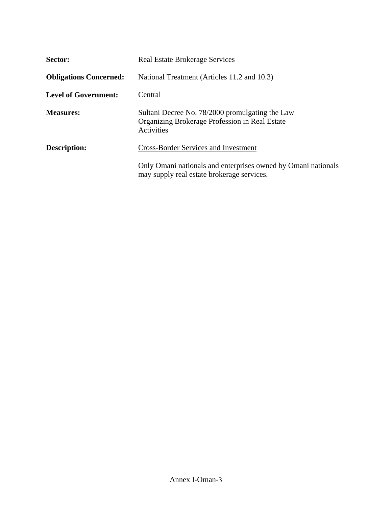| Sector:                       | <b>Real Estate Brokerage Services</b>                                                                           |
|-------------------------------|-----------------------------------------------------------------------------------------------------------------|
| <b>Obligations Concerned:</b> | National Treatment (Articles 11.2 and 10.3)                                                                     |
| <b>Level of Government:</b>   | Central                                                                                                         |
| <b>Measures:</b>              | Sultani Decree No. 78/2000 promulgating the Law<br>Organizing Brokerage Profession in Real Estate<br>Activities |
| Description:                  | <b>Cross-Border Services and Investment</b>                                                                     |
|                               | Only Omani nationals and enterprises owned by Omani nationals<br>may supply real estate brokerage services.     |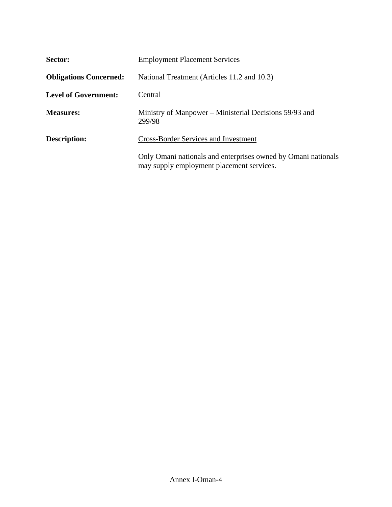| Sector:                       | <b>Employment Placement Services</b>                                                                       |
|-------------------------------|------------------------------------------------------------------------------------------------------------|
| <b>Obligations Concerned:</b> | National Treatment (Articles 11.2 and 10.3)                                                                |
| <b>Level of Government:</b>   | Central                                                                                                    |
| <b>Measures:</b>              | Ministry of Manpower – Ministerial Decisions 59/93 and<br>299/98                                           |
| <b>Description:</b>           | <b>Cross-Border Services and Investment</b>                                                                |
|                               | Only Omani nationals and enterprises owned by Omani nationals<br>may supply employment placement services. |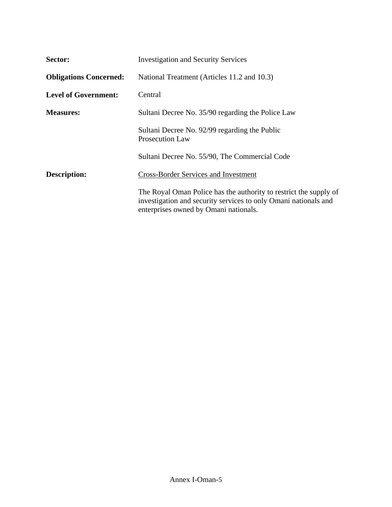| Sector:                       | <b>Investigation and Security Services</b>                                                                                                                                    |
|-------------------------------|-------------------------------------------------------------------------------------------------------------------------------------------------------------------------------|
| <b>Obligations Concerned:</b> | National Treatment (Articles 11.2 and 10.3)                                                                                                                                   |
| <b>Level of Government:</b>   | Central                                                                                                                                                                       |
| <b>Measures:</b>              | Sultani Decree No. 35/90 regarding the Police Law                                                                                                                             |
|                               | Sultani Decree No. 92/99 regarding the Public<br><b>Prosecution Law</b>                                                                                                       |
|                               | Sultani Decree No. 55/90, The Commercial Code                                                                                                                                 |
| <b>Description:</b>           | <b>Cross-Border Services and Investment</b>                                                                                                                                   |
|                               | The Royal Oman Police has the authority to restrict the supply of<br>investigation and security services to only Omani nationals and<br>enterprises owned by Omani nationals. |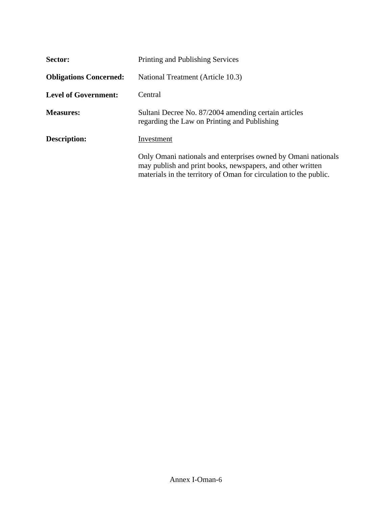| Sector:                       | Printing and Publishing Services                                                                                                                                                                 |
|-------------------------------|--------------------------------------------------------------------------------------------------------------------------------------------------------------------------------------------------|
| <b>Obligations Concerned:</b> | National Treatment (Article 10.3)                                                                                                                                                                |
| <b>Level of Government:</b>   | Central                                                                                                                                                                                          |
| <b>Measures:</b>              | Sultani Decree No. 87/2004 amending certain articles<br>regarding the Law on Printing and Publishing                                                                                             |
| Description:                  | Investment                                                                                                                                                                                       |
|                               | Only Omani nationals and enterprises owned by Omani nationals<br>may publish and print books, newspapers, and other written<br>materials in the territory of Oman for circulation to the public. |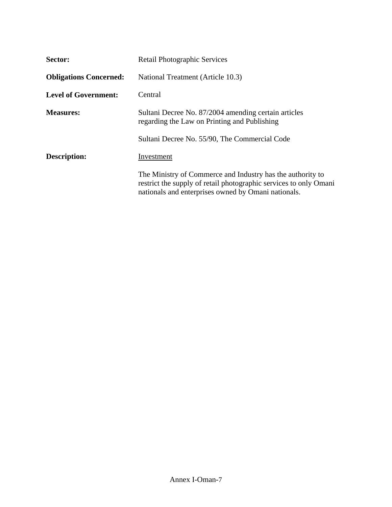| Sector:                       | <b>Retail Photographic Services</b>                                                                                                                                                    |
|-------------------------------|----------------------------------------------------------------------------------------------------------------------------------------------------------------------------------------|
| <b>Obligations Concerned:</b> | National Treatment (Article 10.3)                                                                                                                                                      |
| <b>Level of Government:</b>   | Central                                                                                                                                                                                |
| <b>Measures:</b>              | Sultani Decree No. 87/2004 amending certain articles<br>regarding the Law on Printing and Publishing                                                                                   |
|                               | Sultani Decree No. 55/90, The Commercial Code                                                                                                                                          |
| <b>Description:</b>           | Investment                                                                                                                                                                             |
|                               | The Ministry of Commerce and Industry has the authority to<br>restrict the supply of retail photographic services to only Omani<br>nationals and enterprises owned by Omani nationals. |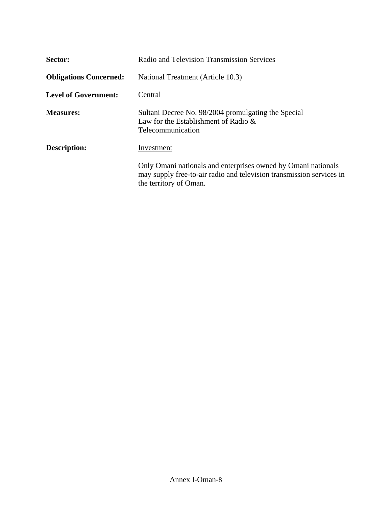| Sector:                       | Radio and Television Transmission Services                                                                                                                      |
|-------------------------------|-----------------------------------------------------------------------------------------------------------------------------------------------------------------|
| <b>Obligations Concerned:</b> | National Treatment (Article 10.3)                                                                                                                               |
| <b>Level of Government:</b>   | Central                                                                                                                                                         |
| <b>Measures:</b>              | Sultani Decree No. 98/2004 promulgating the Special<br>Law for the Establishment of Radio $\&$<br>Telecommunication                                             |
| <b>Description:</b>           | Investment                                                                                                                                                      |
|                               | Only Omani nationals and enterprises owned by Omani nationals<br>may supply free-to-air radio and television transmission services in<br>the territory of Oman. |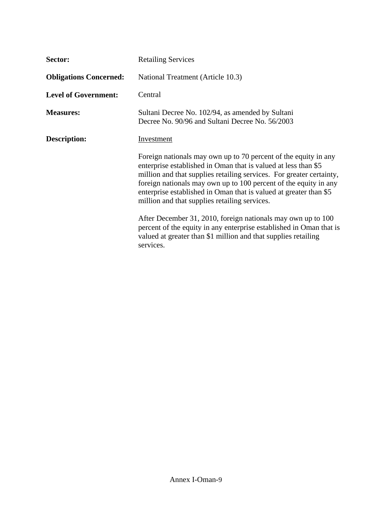| Sector:                       | <b>Retailing Services</b>                                                                                                                                                                                                                                                                                                                                                                           |
|-------------------------------|-----------------------------------------------------------------------------------------------------------------------------------------------------------------------------------------------------------------------------------------------------------------------------------------------------------------------------------------------------------------------------------------------------|
| <b>Obligations Concerned:</b> | National Treatment (Article 10.3)                                                                                                                                                                                                                                                                                                                                                                   |
| <b>Level of Government:</b>   | Central                                                                                                                                                                                                                                                                                                                                                                                             |
| <b>Measures:</b>              | Sultani Decree No. 102/94, as amended by Sultani<br>Decree No. 90/96 and Sultani Decree No. 56/2003                                                                                                                                                                                                                                                                                                 |
| Description:                  | Investment                                                                                                                                                                                                                                                                                                                                                                                          |
|                               | Foreign nationals may own up to 70 percent of the equity in any<br>enterprise established in Oman that is valued at less than \$5<br>million and that supplies retailing services. For greater certainty,<br>foreign nationals may own up to 100 percent of the equity in any<br>enterprise established in Oman that is valued at greater than \$5<br>million and that supplies retailing services. |
|                               | After December 31, 2010, foreign nationals may own up to 100<br>percent of the equity in any enterprise established in Oman that is<br>valued at greater than \$1 million and that supplies retailing<br>services.                                                                                                                                                                                  |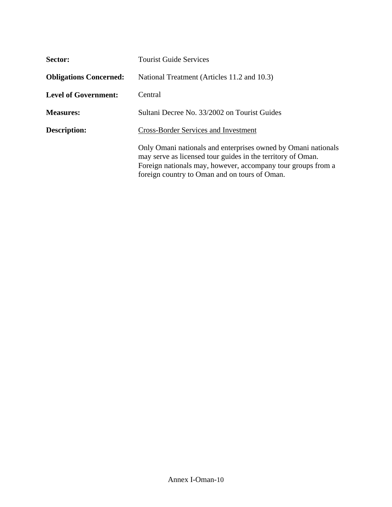| Sector:                       | <b>Tourist Guide Services</b>                                                                                                                                                                                                                 |
|-------------------------------|-----------------------------------------------------------------------------------------------------------------------------------------------------------------------------------------------------------------------------------------------|
| <b>Obligations Concerned:</b> | National Treatment (Articles 11.2 and 10.3)                                                                                                                                                                                                   |
| <b>Level of Government:</b>   | Central                                                                                                                                                                                                                                       |
| <b>Measures:</b>              | Sultani Decree No. 33/2002 on Tourist Guides                                                                                                                                                                                                  |
| Description:                  | <b>Cross-Border Services and Investment</b>                                                                                                                                                                                                   |
|                               | Only Omani nationals and enterprises owned by Omani nationals<br>may serve as licensed tour guides in the territory of Oman.<br>Foreign nationals may, however, accompany tour groups from a<br>foreign country to Oman and on tours of Oman. |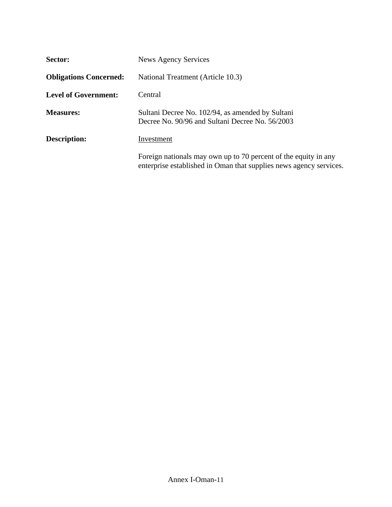| Sector:                       | News Agency Services                                                                                                                  |
|-------------------------------|---------------------------------------------------------------------------------------------------------------------------------------|
| <b>Obligations Concerned:</b> | National Treatment (Article 10.3)                                                                                                     |
| <b>Level of Government:</b>   | Central                                                                                                                               |
| <b>Measures:</b>              | Sultani Decree No. 102/94, as amended by Sultani<br>Decree No. 90/96 and Sultani Decree No. 56/2003                                   |
| <b>Description:</b>           | Investment                                                                                                                            |
|                               | Foreign nationals may own up to 70 percent of the equity in any<br>enterprise established in Oman that supplies news agency services. |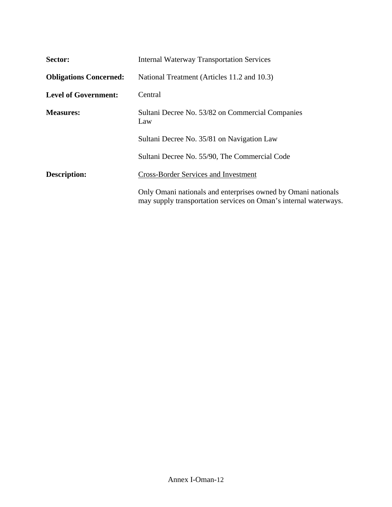| Sector:                       | <b>Internal Waterway Transportation Services</b>                                                                                  |
|-------------------------------|-----------------------------------------------------------------------------------------------------------------------------------|
| <b>Obligations Concerned:</b> | National Treatment (Articles 11.2 and 10.3)                                                                                       |
| <b>Level of Government:</b>   | Central                                                                                                                           |
| <b>Measures:</b>              | Sultani Decree No. 53/82 on Commercial Companies<br>Law                                                                           |
|                               | Sultani Decree No. 35/81 on Navigation Law                                                                                        |
|                               | Sultani Decree No. 55/90, The Commercial Code                                                                                     |
| <b>Description:</b>           | <b>Cross-Border Services and Investment</b>                                                                                       |
|                               | Only Omani nationals and enterprises owned by Omani nationals<br>may supply transportation services on Oman's internal waterways. |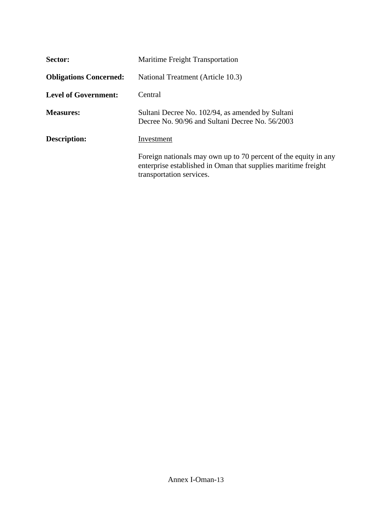| Sector:                       | <b>Maritime Freight Transportation</b>                                                                                                                       |
|-------------------------------|--------------------------------------------------------------------------------------------------------------------------------------------------------------|
| <b>Obligations Concerned:</b> | National Treatment (Article 10.3)                                                                                                                            |
| <b>Level of Government:</b>   | Central                                                                                                                                                      |
| <b>Measures:</b>              | Sultani Decree No. 102/94, as amended by Sultani<br>Decree No. 90/96 and Sultani Decree No. 56/2003                                                          |
| Description:                  | Investment                                                                                                                                                   |
|                               | Foreign nationals may own up to 70 percent of the equity in any<br>enterprise established in Oman that supplies maritime freight<br>transportation services. |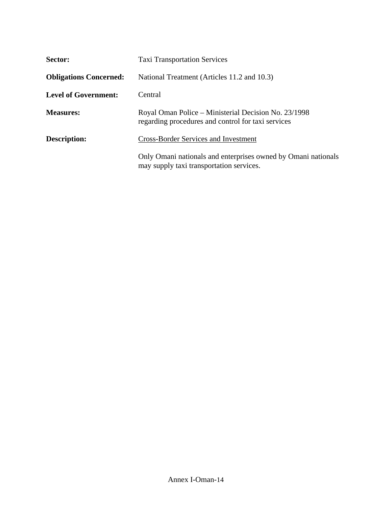| Sector:                       | <b>Taxi Transportation Services</b>                                                                        |
|-------------------------------|------------------------------------------------------------------------------------------------------------|
| <b>Obligations Concerned:</b> | National Treatment (Articles 11.2 and 10.3)                                                                |
| Level of Government:          | Central                                                                                                    |
| <b>Measures:</b>              | Royal Oman Police – Ministerial Decision No. 23/1998<br>regarding procedures and control for taxi services |
| <b>Description:</b>           | <b>Cross-Border Services and Investment</b>                                                                |
|                               | Only Omani nationals and enterprises owned by Omani nationals<br>may supply taxi transportation services.  |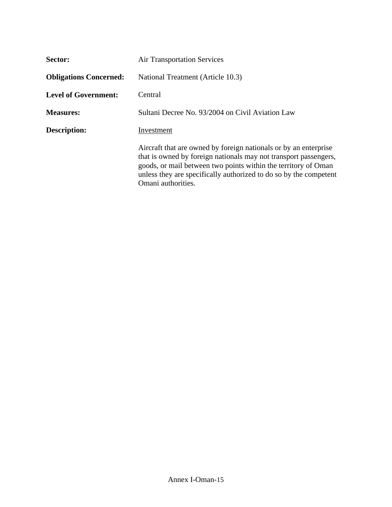| Sector:                       | <b>Air Transportation Services</b>                                                                                                                                                                                                                                                                |
|-------------------------------|---------------------------------------------------------------------------------------------------------------------------------------------------------------------------------------------------------------------------------------------------------------------------------------------------|
| <b>Obligations Concerned:</b> | National Treatment (Article 10.3)                                                                                                                                                                                                                                                                 |
| <b>Level of Government:</b>   | Central                                                                                                                                                                                                                                                                                           |
| <b>Measures:</b>              | Sultani Decree No. 93/2004 on Civil Aviation Law                                                                                                                                                                                                                                                  |
| Description:                  | Investment                                                                                                                                                                                                                                                                                        |
|                               | Aircraft that are owned by foreign nationals or by an enterprise<br>that is owned by foreign nationals may not transport passengers,<br>goods, or mail between two points within the territory of Oman<br>unless they are specifically authorized to do so by the competent<br>Omani authorities. |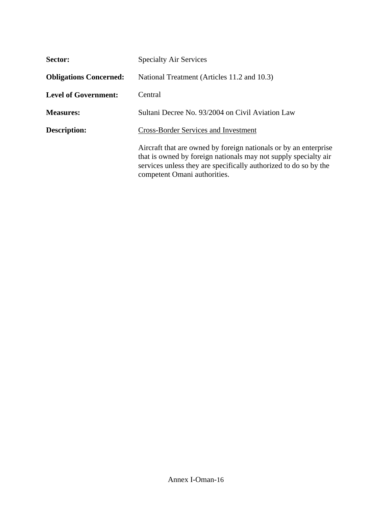| Sector:                       | <b>Specialty Air Services</b>                                                                                                                                                                                                           |
|-------------------------------|-----------------------------------------------------------------------------------------------------------------------------------------------------------------------------------------------------------------------------------------|
| <b>Obligations Concerned:</b> | National Treatment (Articles 11.2 and 10.3)                                                                                                                                                                                             |
| <b>Level of Government:</b>   | Central                                                                                                                                                                                                                                 |
| <b>Measures:</b>              | Sultani Decree No. 93/2004 on Civil Aviation Law                                                                                                                                                                                        |
| <b>Description:</b>           | <b>Cross-Border Services and Investment</b>                                                                                                                                                                                             |
|                               | Aircraft that are owned by foreign nationals or by an enterprise<br>that is owned by foreign nationals may not supply specialty air<br>services unless they are specifically authorized to do so by the<br>competent Omani authorities. |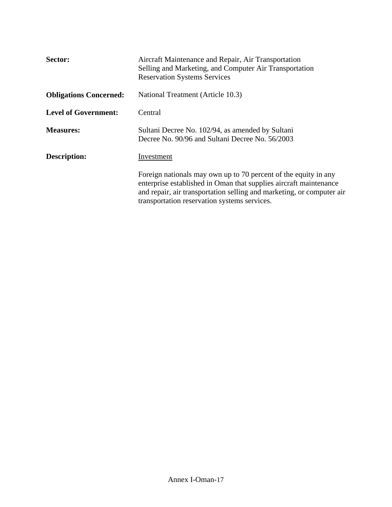| Sector:                       | Aircraft Maintenance and Repair, Air Transportation<br>Selling and Marketing, and Computer Air Transportation<br><b>Reservation Systems Services</b>                                                                                                          |
|-------------------------------|---------------------------------------------------------------------------------------------------------------------------------------------------------------------------------------------------------------------------------------------------------------|
| <b>Obligations Concerned:</b> | National Treatment (Article 10.3)                                                                                                                                                                                                                             |
| <b>Level of Government:</b>   | Central                                                                                                                                                                                                                                                       |
| <b>Measures:</b>              | Sultani Decree No. 102/94, as amended by Sultani<br>Decree No. 90/96 and Sultani Decree No. 56/2003                                                                                                                                                           |
| <b>Description:</b>           | Investment                                                                                                                                                                                                                                                    |
|                               | Foreign nationals may own up to 70 percent of the equity in any<br>enterprise established in Oman that supplies aircraft maintenance<br>and repair, air transportation selling and marketing, or computer air<br>transportation reservation systems services. |